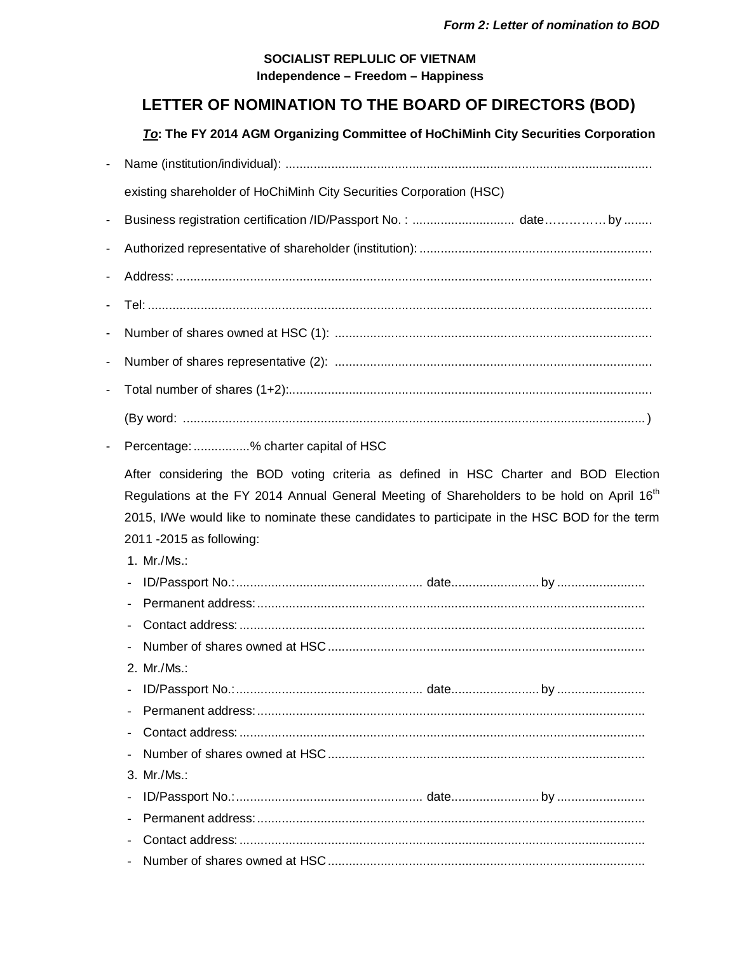## SOCIALIST REPLULIC OF VIETNAM Independence - Freedom - Happiness

## LETTER OF NOMINATION TO THE BOARD OF DIRECTORS (BOD)

To: The FY 2014 AGM Organizing Committee of HoChiMinh City Securities Corporation

| $\blacksquare$ |                                                                                                                                                                                                                                                     |
|----------------|-----------------------------------------------------------------------------------------------------------------------------------------------------------------------------------------------------------------------------------------------------|
|                | existing shareholder of HoChiMinh City Securities Corporation (HSC)                                                                                                                                                                                 |
| $\blacksquare$ | Business registration certification /ID/Passport No.:  dateby                                                                                                                                                                                       |
|                |                                                                                                                                                                                                                                                     |
|                |                                                                                                                                                                                                                                                     |
|                |                                                                                                                                                                                                                                                     |
| -              |                                                                                                                                                                                                                                                     |
| -              |                                                                                                                                                                                                                                                     |
|                |                                                                                                                                                                                                                                                     |
|                |                                                                                                                                                                                                                                                     |
|                |                                                                                                                                                                                                                                                     |
|                | Percentage: % charter capital of HSC                                                                                                                                                                                                                |
|                | Regulations at the FY 2014 Annual General Meeting of Shareholders to be hold on April 16 <sup>th</sup><br>2015, I/We would like to nominate these candidates to participate in the HSC BOD for the term<br>2011 - 2015 as following:<br>1. Mr./Ms.: |
|                | 2. Mr./Ms.:                                                                                                                                                                                                                                         |
|                |                                                                                                                                                                                                                                                     |
|                |                                                                                                                                                                                                                                                     |
|                |                                                                                                                                                                                                                                                     |
|                |                                                                                                                                                                                                                                                     |
|                | 3. Mr./Ms.:                                                                                                                                                                                                                                         |
|                |                                                                                                                                                                                                                                                     |
|                |                                                                                                                                                                                                                                                     |
|                |                                                                                                                                                                                                                                                     |
|                |                                                                                                                                                                                                                                                     |